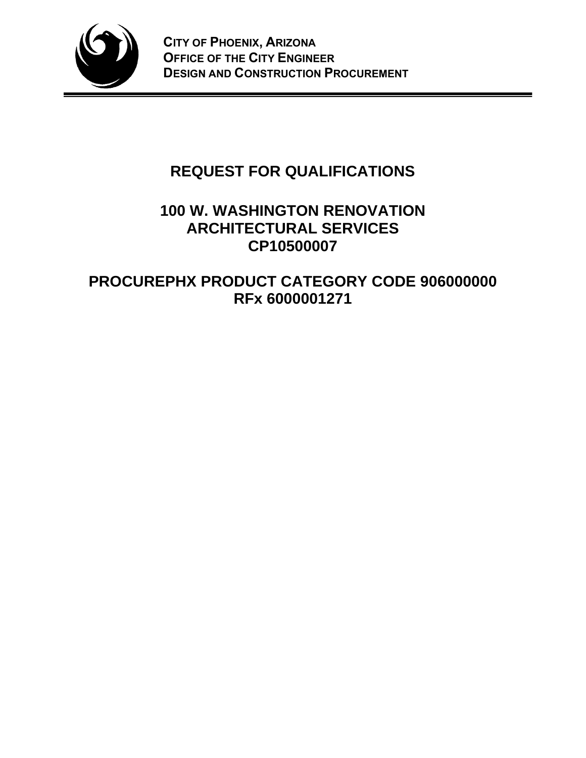

# **REQUEST FOR QUALIFICATIONS**

# **100 W. WASHINGTON RENOVATION ARCHITECTURAL SERVICES CP10500007**

# **PROCUREPHX PRODUCT CATEGORY CODE 906000000 RFx 6000001271**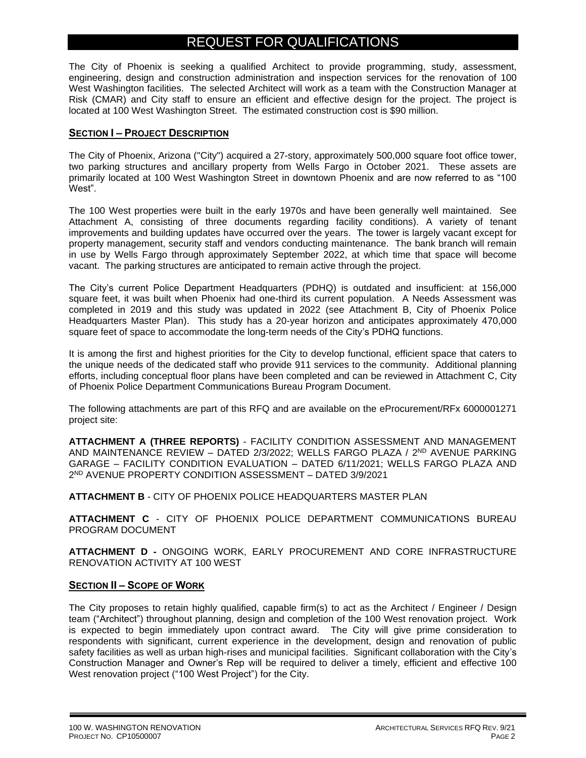# REQUEST FOR QUALIFICATIONS

The City of Phoenix is seeking a qualified Architect to provide programming, study, assessment, engineering, design and construction administration and inspection services for the renovation of 100 West Washington facilities. The selected Architect will work as a team with the Construction Manager at Risk (CMAR) and City staff to ensure an efficient and effective design for the project. The project is located at 100 West Washington Street. The estimated construction cost is \$90 million.

### **SECTION I – PROJECT DESCRIPTION**

The City of Phoenix, Arizona ("City") acquired a 27-story, approximately 500,000 square foot office tower, two parking structures and ancillary property from Wells Fargo in October 2021. These assets are primarily located at 100 West Washington Street in downtown Phoenix and are now referred to as "100 West".

The 100 West properties were built in the early 1970s and have been generally well maintained. See Attachment A, consisting of three documents regarding facility conditions). A variety of tenant improvements and building updates have occurred over the years. The tower is largely vacant except for property management, security staff and vendors conducting maintenance. The bank branch will remain in use by Wells Fargo through approximately September 2022, at which time that space will become vacant. The parking structures are anticipated to remain active through the project.

The City's current Police Department Headquarters (PDHQ) is outdated and insufficient: at 156,000 square feet, it was built when Phoenix had one-third its current population. A Needs Assessment was completed in 2019 and this study was updated in 2022 (see Attachment B, City of Phoenix Police Headquarters Master Plan). This study has a 20-year horizon and anticipates approximately 470,000 square feet of space to accommodate the long-term needs of the City's PDHQ functions.

It is among the first and highest priorities for the City to develop functional, efficient space that caters to the unique needs of the dedicated staff who provide 911 services to the community. Additional planning efforts, including conceptual floor plans have been completed and can be reviewed in Attachment C, City of Phoenix Police Department Communications Bureau Program Document.

The following attachments are part of this RFQ and are available on the eProcurement/RFx 6000001271 project site:

**ATTACHMENT A (THREE REPORTS)** - FACILITY CONDITION ASSESSMENT AND MANAGEMENT AND MAINTENANCE REVIEW – DATED 2/3/2022; WELLS FARGO PLAZA / 2ND AVENUE PARKING GARAGE – FACILITY CONDITION EVALUATION – DATED 6/11/2021; WELLS FARGO PLAZA AND 2 ND AVENUE PROPERTY CONDITION ASSESSMENT – DATED 3/9/2021

**ATTACHMENT B** - CITY OF PHOENIX POLICE HEADQUARTERS MASTER PLAN

**ATTACHMENT C** - CITY OF PHOENIX POLICE DEPARTMENT COMMUNICATIONS BUREAU PROGRAM DOCUMENT

**ATTACHMENT D -** ONGOING WORK, EARLY PROCUREMENT AND CORE INFRASTRUCTURE RENOVATION ACTIVITY AT 100 WEST

## **SECTION II – SCOPE OF WORK**

The City proposes to retain highly qualified, capable firm(s) to act as the Architect / Engineer / Design team ("Architect") throughout planning, design and completion of the 100 West renovation project. Work is expected to begin immediately upon contract award. The City will give prime consideration to respondents with significant, current experience in the development, design and renovation of public safety facilities as well as urban high-rises and municipal facilities. Significant collaboration with the City's Construction Manager and Owner's Rep will be required to deliver a timely, efficient and effective 100 West renovation project ("100 West Project") for the City.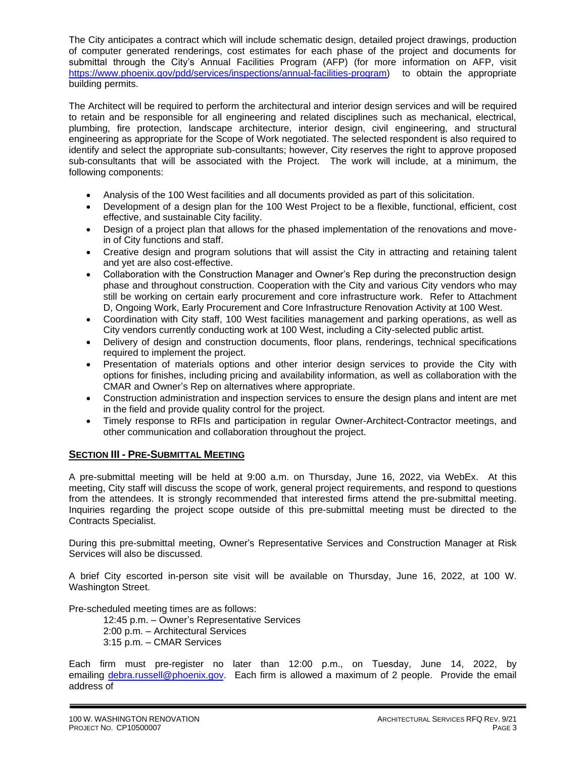The City anticipates a contract which will include schematic design, detailed project drawings, production of computer generated renderings, cost estimates for each phase of the project and documents for submittal through the City's Annual Facilities Program (AFP) (for more information on AFP, visit [https://www.phoenix.gov/pdd/services/inspections/annual-facilities-program\)](https://www.phoenix.gov/pdd/services/inspections/annual-facilities-program) to obtain the appropriate building permits.

The Architect will be required to perform the architectural and interior design services and will be required to retain and be responsible for all engineering and related disciplines such as mechanical, electrical, plumbing, fire protection, landscape architecture, interior design, civil engineering, and structural engineering as appropriate for the Scope of Work negotiated. The selected respondent is also required to identify and select the appropriate sub-consultants; however, City reserves the right to approve proposed sub-consultants that will be associated with the Project. The work will include, at a minimum, the following components:

- Analysis of the 100 West facilities and all documents provided as part of this solicitation.
- Development of a design plan for the 100 West Project to be a flexible, functional, efficient, cost effective, and sustainable City facility.
- Design of a project plan that allows for the phased implementation of the renovations and movein of City functions and staff.
- Creative design and program solutions that will assist the City in attracting and retaining talent and yet are also cost-effective.
- Collaboration with the Construction Manager and Owner's Rep during the preconstruction design phase and throughout construction. Cooperation with the City and various City vendors who may still be working on certain early procurement and core infrastructure work. Refer to Attachment D, Ongoing Work, Early Procurement and Core Infrastructure Renovation Activity at 100 West.
- Coordination with City staff, 100 West facilities management and parking operations, as well as City vendors currently conducting work at 100 West, including a City-selected public artist.
- Delivery of design and construction documents, floor plans, renderings, technical specifications required to implement the project.
- Presentation of materials options and other interior design services to provide the City with options for finishes, including pricing and availability information, as well as collaboration with the CMAR and Owner's Rep on alternatives where appropriate.
- Construction administration and inspection services to ensure the design plans and intent are met in the field and provide quality control for the project.
- Timely response to RFIs and participation in regular Owner-Architect-Contractor meetings, and other communication and collaboration throughout the project.

## **SECTION III - PRE-SUBMITTAL MEETING**

A pre-submittal meeting will be held at 9:00 a.m. on Thursday, June 16, 2022, via WebEx. At this meeting, City staff will discuss the scope of work, general project requirements, and respond to questions from the attendees. It is strongly recommended that interested firms attend the pre-submittal meeting. Inquiries regarding the project scope outside of this pre-submittal meeting must be directed to the Contracts Specialist.

During this pre-submittal meeting, Owner's Representative Services and Construction Manager at Risk Services will also be discussed.

A brief City escorted in-person site visit will be available on Thursday, June 16, 2022, at 100 W. Washington Street.

Pre-scheduled meeting times are as follows:

12:45 p.m. – Owner's Representative Services 2:00 p.m. – Architectural Services 3:15 p.m. – CMAR Services

Each firm must pre-register no later than 12:00 p.m., on Tuesday, June 14, 2022, by [emailing debra.russell@pho](mailto:debra.russell@phoenix.gov)enix.gov. Each firm is allowed a maximum of 2 people. Provide the email address of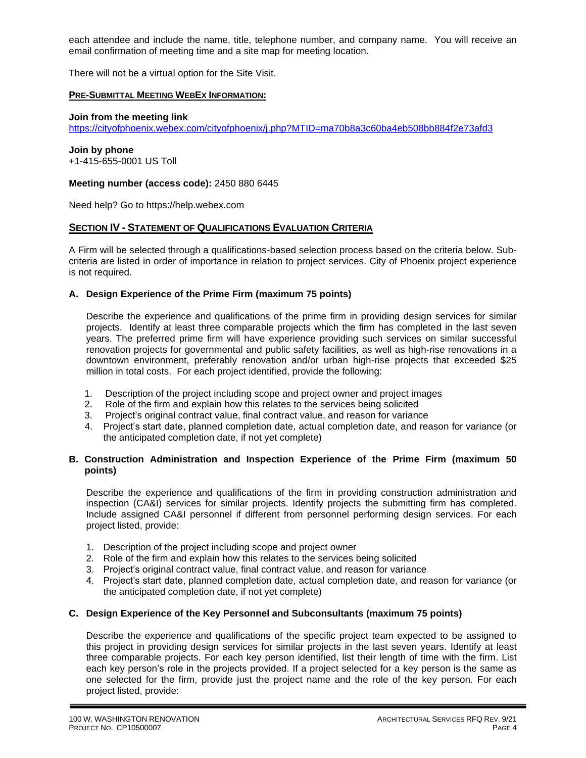each attendee and include the name, title, telephone number, and company name. You will receive an email confirmation of meeting time and a site map for meeting location.

There will not be a virtual option for the Site Visit.

#### **PRE-SUBMITTAL MEETING WEBEX INFORMATION:**

#### **Join from the meeting link**

<https://cityofphoenix.webex.com/cityofphoenix/j.php?MTID=ma70b8a3c60ba4eb508bb884f2e73afd3>

**Join by phone**  +1-415-655-0001 US Toll

#### **Meeting number (access code):** 2450 880 6445

Need help? Go to https://help.webex.com

#### **SECTION IV - STATEMENT OF QUALIFICATIONS EVALUATION CRITERIA**

A Firm will be selected through a qualifications-based selection process based on the criteria below. Subcriteria are listed in order of importance in relation to project services. City of Phoenix project experience is not required.

#### **A. Design Experience of the Prime Firm (maximum 75 points)**

Describe the experience and qualifications of the prime firm in providing design services for similar projects. Identify at least three comparable projects which the firm has completed in the last seven years. The preferred prime firm will have experience providing such services on similar successful renovation projects for governmental and public safety facilities, as well as high-rise renovations in a downtown environment, preferably renovation and/or urban high-rise projects that exceeded \$25 million in total costs. For each project identified, provide the following:

- 1. Description of the project including scope and project owner and project images
- 2. Role of the firm and explain how this relates to the services being solicited
- 3. Project's original contract value, final contract value, and reason for variance
- 4. Project's start date, planned completion date, actual completion date, and reason for variance (or the anticipated completion date, if not yet complete)

#### **B. Construction Administration and Inspection Experience of the Prime Firm (maximum 50 points)**

Describe the experience and qualifications of the firm in providing construction administration and inspection (CA&I) services for similar projects. Identify projects the submitting firm has completed. Include assigned CA&I personnel if different from personnel performing design services. For each project listed, provide:

- 1. Description of the project including scope and project owner
- 2. Role of the firm and explain how this relates to the services being solicited
- 3. Project's original contract value, final contract value, and reason for variance
- 4. Project's start date, planned completion date, actual completion date, and reason for variance (or the anticipated completion date, if not yet complete)

#### **C. Design Experience of the Key Personnel and Subconsultants (maximum 75 points)**

Describe the experience and qualifications of the specific project team expected to be assigned to this project in providing design services for similar projects in the last seven years. Identify at least three comparable projects. For each key person identified, list their length of time with the firm. List each key person's role in the projects provided. If a project selected for a key person is the same as one selected for the firm, provide just the project name and the role of the key person. For each project listed, provide: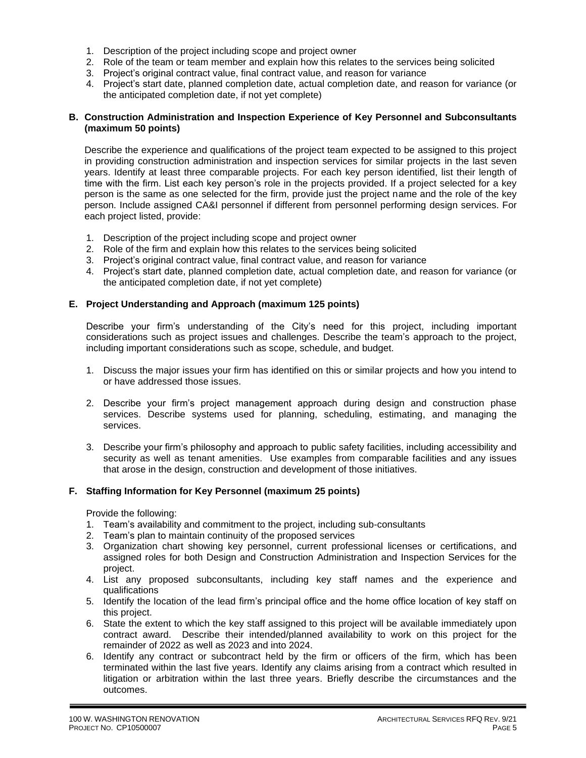- 1. Description of the project including scope and project owner
- 2. Role of the team or team member and explain how this relates to the services being solicited
- 3. Project's original contract value, final contract value, and reason for variance
- 4. Project's start date, planned completion date, actual completion date, and reason for variance (or the anticipated completion date, if not yet complete)

#### **B. Construction Administration and Inspection Experience of Key Personnel and Subconsultants (maximum 50 points)**

Describe the experience and qualifications of the project team expected to be assigned to this project in providing construction administration and inspection services for similar projects in the last seven years. Identify at least three comparable projects. For each key person identified, list their length of time with the firm. List each key person's role in the projects provided. If a project selected for a key person is the same as one selected for the firm, provide just the project name and the role of the key person. Include assigned CA&I personnel if different from personnel performing design services. For each project listed, provide:

- 1. Description of the project including scope and project owner
- 2. Role of the firm and explain how this relates to the services being solicited
- 3. Project's original contract value, final contract value, and reason for variance
- 4. Project's start date, planned completion date, actual completion date, and reason for variance (or the anticipated completion date, if not yet complete)

#### **E. Project Understanding and Approach (maximum 125 points)**

Describe your firm's understanding of the City's need for this project, including important considerations such as project issues and challenges. Describe the team's approach to the project, including important considerations such as scope, schedule, and budget.

- 1. Discuss the major issues your firm has identified on this or similar projects and how you intend to or have addressed those issues.
- 2. Describe your firm's project management approach during design and construction phase services. Describe systems used for planning, scheduling, estimating, and managing the services.
- 3. Describe your firm's philosophy and approach to public safety facilities, including accessibility and security as well as tenant amenities. Use examples from comparable facilities and any issues that arose in the design, construction and development of those initiatives.

#### **F. Staffing Information for Key Personnel (maximum 25 points)**

Provide the following:

- 1. Team's availability and commitment to the project, including sub-consultants
- 2. Team's plan to maintain continuity of the proposed services
- 3. Organization chart showing key personnel, current professional licenses or certifications, and assigned roles for both Design and Construction Administration and Inspection Services for the project.
- 4. List any proposed subconsultants, including key staff names and the experience and qualifications
- 5. Identify the location of the lead firm's principal office and the home office location of key staff on this project.
- 6. State the extent to which the key staff assigned to this project will be available immediately upon contract award. Describe their intended/planned availability to work on this project for the remainder of 2022 as well as 2023 and into 2024.
- 6. Identify any contract or subcontract held by the firm or officers of the firm, which has been terminated within the last five years. Identify any claims arising from a contract which resulted in litigation or arbitration within the last three years. Briefly describe the circumstances and the outcomes.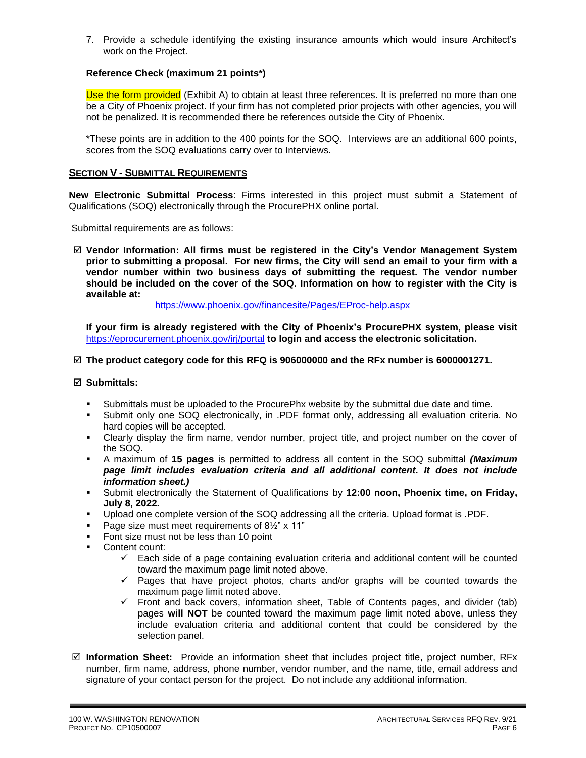7. Provide a schedule identifying the existing insurance amounts which would insure Architect's work on the Project.

### **Reference Check (maximum 21 points\*)**

Use the form provided (Exhibit A) to obtain at least three references. It is preferred no more than one be a City of Phoenix project. If your firm has not completed prior projects with other agencies, you will not be penalized. It is recommended there be references outside the City of Phoenix.

\*These points are in addition to the 400 points for the SOQ. Interviews are an additional 600 points, scores from the SOQ evaluations carry over to Interviews.

#### **SECTION V - SUBMITTAL REQUIREMENTS**

**New Electronic Submittal Process**: Firms interested in this project must submit a Statement of Qualifications (SOQ) electronically through the ProcurePHX online portal.

Submittal requirements are as follows:

 **Vendor Information: All firms must be registered in the City's Vendor Management System prior to submitting a proposal. For new firms, the City will send an email to your firm with a vendor number within two business days of submitting the request. The vendor number should be included on the cover of the SOQ. Information on how to register with the City is available at:**

<https://www.phoenix.gov/financesite/Pages/EProc-help.aspx>

**If your firm is already registered with the City of Phoenix's ProcurePHX system, please visit**  <https://eprocurement.phoenix.gov/irj/portal> **to login and access the electronic solicitation.**

#### **The product category code for this RFQ is 906000000 and the RFx number is 6000001271.**

#### **Submittals:**

- Submittals must be uploaded to the ProcurePhx website by the submittal due date and time.
- Submit only one SOQ electronically, in .PDF format only, addressing all evaluation criteria. No hard copies will be accepted.
- Clearly display the firm name, vendor number, project title, and project number on the cover of the SOQ.
- A maximum of **15 pages** is permitted to address all content in the SOQ submittal *(Maximum page limit includes evaluation criteria and all additional content. It does not include information sheet.)*
- Submit electronically the Statement of Qualifications by **12:00 noon, Phoenix time, on Friday, July 8, 2022.**
- Upload one complete version of the SOQ addressing all the criteria. Upload format is .PDF.
- Page size must meet requirements of  $8\frac{1}{2}$ " x 11"
- Font size must not be less than 10 point
- Content count:
	- $\checkmark$  Each side of a page containing evaluation criteria and additional content will be counted toward the maximum page limit noted above.
	- ✓ Pages that have project photos, charts and/or graphs will be counted towards the maximum page limit noted above.
	- ✓ Front and back covers, information sheet, Table of Contents pages, and divider (tab) pages **will NOT** be counted toward the maximum page limit noted above, unless they include evaluation criteria and additional content that could be considered by the selection panel.
- **Information Sheet:** Provide an information sheet that includes project title, project number, RFx number, firm name, address, phone number, vendor number, and the name, title, email address and signature of your contact person for the project. Do not include any additional information.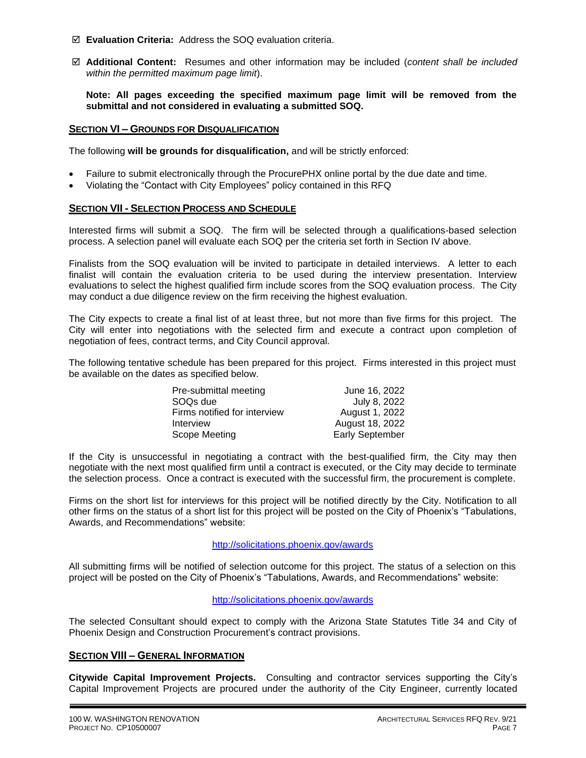- **Evaluation Criteria:** Address the SOQ evaluation criteria.
- **Additional Content:** Resumes and other information may be included (*content shall be included within the permitted maximum page limit*).

**Note: All pages exceeding the specified maximum page limit will be removed from the submittal and not considered in evaluating a submitted SOQ.**

#### **SECTION VI – GROUNDS FOR DISQUALIFICATION**

The following **will be grounds for disqualification,** and will be strictly enforced:

- Failure to submit electronically through the ProcurePHX online portal by the due date and time.
- Violating the "Contact with City Employees" policy contained in this RFQ

#### **SECTION VII - SELECTION PROCESS AND SCHEDULE**

Interested firms will submit a SOQ. The firm will be selected through a qualifications-based selection process. A selection panel will evaluate each SOQ per the criteria set forth in Section IV above.

Finalists from the SOQ evaluation will be invited to participate in detailed interviews. A letter to each finalist will contain the evaluation criteria to be used during the interview presentation. Interview evaluations to select the highest qualified firm include scores from the SOQ evaluation process. The City may conduct a due diligence review on the firm receiving the highest evaluation.

The City expects to create a final list of at least three, but not more than five firms for this project. The City will enter into negotiations with the selected firm and execute a contract upon completion of negotiation of fees, contract terms, and City Council approval.

The following tentative schedule has been prepared for this project. Firms interested in this project must be available on the dates as specified below.

| Pre-submittal meeting        | June 16, 2022          |
|------------------------------|------------------------|
| SOQ <sub>s</sub> due         | July 8, 2022           |
| Firms notified for interview | August 1, 2022         |
| Interview                    | August 18, 2022        |
| Scope Meeting                | <b>Early September</b> |

If the City is unsuccessful in negotiating a contract with the best-qualified firm, the City may then negotiate with the next most qualified firm until a contract is executed, or the City may decide to terminate the selection process. Once a contract is executed with the successful firm, the procurement is complete.

Firms on the short list for interviews for this project will be notified directly by the City. Notification to all other firms on the status of a short list for this project will be posted on the City of Phoenix's "Tabulations, Awards, and Recommendations" website:

## http://solicitations.phoenix.gov/awards

All submitting firms will be notified of selection outcome for this project. The status of a selection on this project will be posted on the City of Phoenix's "Tabulations, Awards, and Recommendations" website:

#### <http://solicitations.phoenix.gov/awards>

The selected Consultant should expect to comply with the Arizona State Statutes Title 34 and City of Phoenix Design and Construction Procurement's contract provisions.

#### **SECTION VIII – GENERAL INFORMATION**

**Citywide Capital Improvement Projects.** Consulting and contractor services supporting the City's Capital Improvement Projects are procured under the authority of the City Engineer, currently located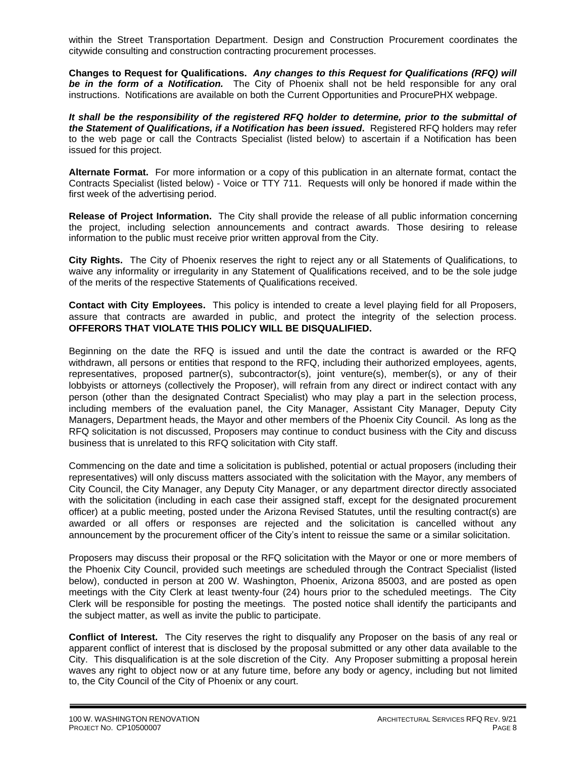within the Street Transportation Department. Design and Construction Procurement coordinates the citywide consulting and construction contracting procurement processes.

**Changes to Request for Qualifications.** *Any changes to this Request for Qualifications (RFQ) will be in the form of a Notification.* The City of Phoenix shall not be held responsible for any oral instructions. Notifications are available on both the Current Opportunities and ProcurePHX webpage.

*It shall be the responsibility of the registered RFQ holder to determine, prior to the submittal of the Statement of Qualifications, if a Notification has been issued***.** Registered RFQ holders may refer to the web page or call the Contracts Specialist (listed below) to ascertain if a Notification has been issued for this project.

**Alternate Format.** For more information or a copy of this publication in an alternate format, contact the Contracts Specialist (listed below) - Voice or TTY 711. Requests will only be honored if made within the first week of the advertising period.

**Release of Project Information.** The City shall provide the release of all public information concerning the project, including selection announcements and contract awards. Those desiring to release information to the public must receive prior written approval from the City.

**City Rights.** The City of Phoenix reserves the right to reject any or all Statements of Qualifications, to waive any informality or irregularity in any Statement of Qualifications received, and to be the sole judge of the merits of the respective Statements of Qualifications received.

**Contact with City Employees.** This policy is intended to create a level playing field for all Proposers, assure that contracts are awarded in public, and protect the integrity of the selection process. **OFFERORS THAT VIOLATE THIS POLICY WILL BE DISQUALIFIED.**

Beginning on the date the RFQ is issued and until the date the contract is awarded or the RFQ withdrawn, all persons or entities that respond to the RFQ, including their authorized employees, agents, representatives, proposed partner(s), subcontractor(s), joint venture(s), member(s), or any of their lobbyists or attorneys (collectively the Proposer), will refrain from any direct or indirect contact with any person (other than the designated Contract Specialist) who may play a part in the selection process, including members of the evaluation panel, the City Manager, Assistant City Manager, Deputy City Managers, Department heads, the Mayor and other members of the Phoenix City Council. As long as the RFQ solicitation is not discussed, Proposers may continue to conduct business with the City and discuss business that is unrelated to this RFQ solicitation with City staff.

Commencing on the date and time a solicitation is published, potential or actual proposers (including their representatives) will only discuss matters associated with the solicitation with the Mayor, any members of City Council, the City Manager, any Deputy City Manager, or any department director directly associated with the solicitation (including in each case their assigned staff, except for the designated procurement officer) at a public meeting, posted under the Arizona Revised Statutes, until the resulting contract(s) are awarded or all offers or responses are rejected and the solicitation is cancelled without any announcement by the procurement officer of the City's intent to reissue the same or a similar solicitation.

Proposers may discuss their proposal or the RFQ solicitation with the Mayor or one or more members of the Phoenix City Council, provided such meetings are scheduled through the Contract Specialist (listed below), conducted in person at 200 W. Washington, Phoenix, Arizona 85003, and are posted as open meetings with the City Clerk at least twenty-four (24) hours prior to the scheduled meetings. The City Clerk will be responsible for posting the meetings. The posted notice shall identify the participants and the subject matter, as well as invite the public to participate.

**Conflict of Interest.** The City reserves the right to disqualify any Proposer on the basis of any real or apparent conflict of interest that is disclosed by the proposal submitted or any other data available to the City. This disqualification is at the sole discretion of the City. Any Proposer submitting a proposal herein waves any right to object now or at any future time, before any body or agency, including but not limited to, the City Council of the City of Phoenix or any court.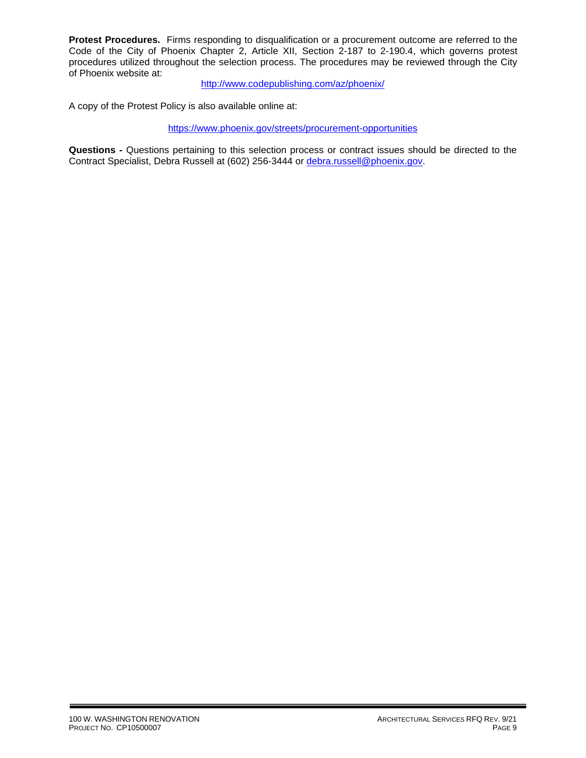**Protest Procedures.** Firms responding to disqualification or a procurement outcome are referred to the Code of the City of Phoenix Chapter 2, Article XII, Section 2-187 to 2-190.4, which governs protest procedures utilized throughout the selection process. The procedures may be reviewed through the City of Phoenix website at:

<http://www.codepublishing.com/az/phoenix/>

A copy of the Protest Policy is also available online at:

<https://www.phoenix.gov/streets/procurement-opportunities>

**Questions -** Questions pertaining to this selection process or contract issues should be directed to the Contract Specialist, Debra Russell at (602) 256-3444 or [debra.russell@phoenix.gov.](mailto:debra.russell@phoenix.gov)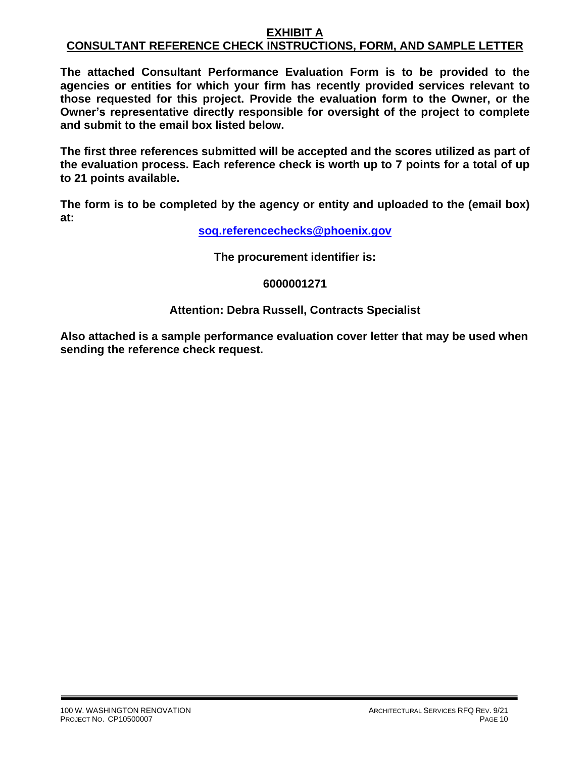### **EXHIBIT A CONSULTANT REFERENCE CHECK INSTRUCTIONS, FORM, AND SAMPLE LETTER**

**The attached Consultant Performance Evaluation Form is to be provided to the agencies or entities for which your firm has recently provided services relevant to those requested for this project. Provide the evaluation form to the Owner, or the Owner's representative directly responsible for oversight of the project to complete and submit to the email box listed below.**

**The first three references submitted will be accepted and the scores utilized as part of the evaluation process. Each reference check is worth up to 7 points for a total of up to 21 points available.**

**The form is to be completed by the agency or entity and uploaded to the (email box) at:**

**[soq.referencechecks@phoenix.gov](mailto:soq.referencechecks@phoenix.gov)**

**The procurement identifier is:**

## **6000001271**

# **Attention: Debra Russell, Contracts Specialist**

**Also attached is a sample performance evaluation cover letter that may be used when sending the reference check request.**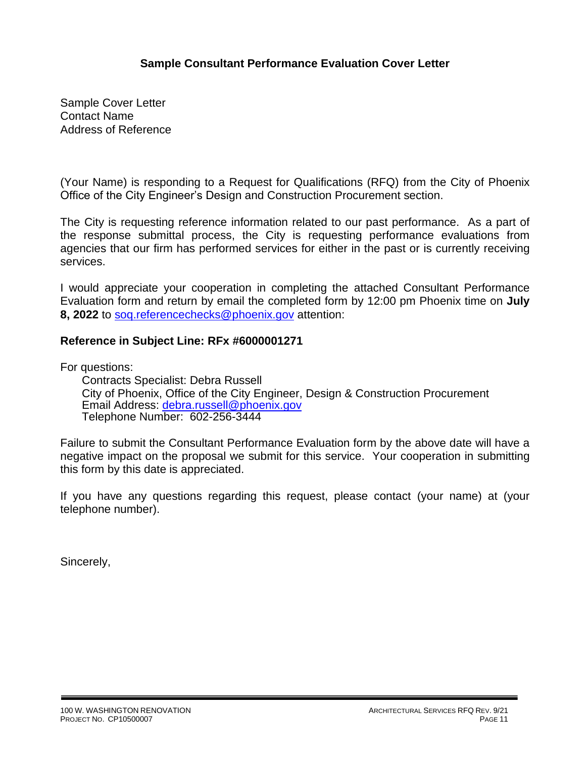# **Sample Consultant Performance Evaluation Cover Letter**

Sample Cover Letter Contact Name Address of Reference

(Your Name) is responding to a Request for Qualifications (RFQ) from the City of Phoenix Office of the City Engineer's Design and Construction Procurement section.

The City is requesting reference information related to our past performance. As a part of the response submittal process, the City is requesting performance evaluations from agencies that our firm has performed services for either in the past or is currently receiving services.

I would appreciate your cooperation in completing the attached Consultant Performance Evaluation form and return by email the completed form by 12:00 pm Phoenix time on **July 8, 2022** to [soq.referencechecks@phoenix.gov](mailto:soq.referencechecks@phoenix.gov) attention:

## **Reference in Subject Line: RFx #6000001271**

For questions:

Contracts Specialist: Debra Russell City of Phoenix, Office of the City Engineer, Design & Construction Procurement Email Address: [debra.russell@phoenix.gov](mailto:debra.russell@phoenix.gov) Telephone Number: 602-256-3444

Failure to submit the Consultant Performance Evaluation form by the above date will have a negative impact on the proposal we submit for this service. Your cooperation in submitting this form by this date is appreciated.

If you have any questions regarding this request, please contact (your name) at (your telephone number).

Sincerely,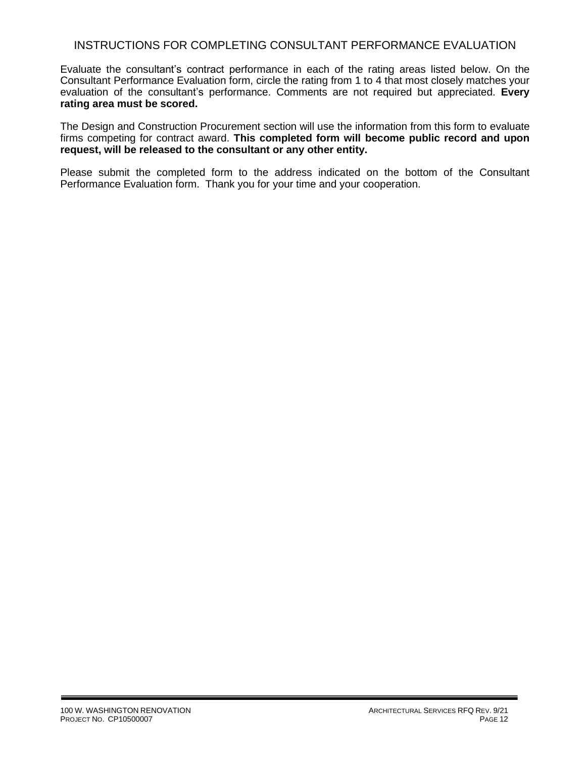## INSTRUCTIONS FOR COMPLETING CONSULTANT PERFORMANCE EVALUATION

Evaluate the consultant's contract performance in each of the rating areas listed below. On the Consultant Performance Evaluation form, circle the rating from 1 to 4 that most closely matches your evaluation of the consultant's performance. Comments are not required but appreciated. **Every rating area must be scored.** 

The Design and Construction Procurement section will use the information from this form to evaluate firms competing for contract award. **This completed form will become public record and upon request, will be released to the consultant or any other entity.**

Please submit the completed form to the address indicated on the bottom of the Consultant Performance Evaluation form. Thank you for your time and your cooperation.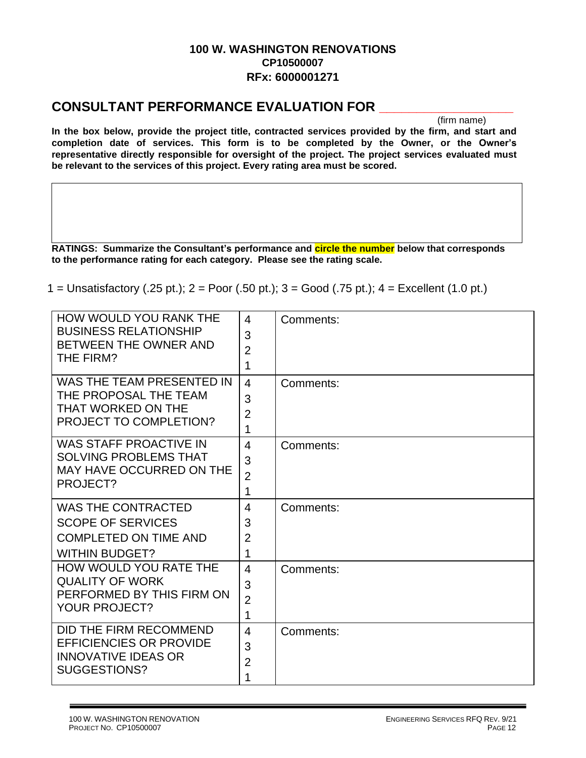# **100 W. WASHINGTON RENOVATIONS CP10500007 RFx: 6000001271**

# **CONSULTANT PERFORMANCE EVALUATION FOR \_\_\_\_\_\_\_\_\_\_\_\_\_\_\_\_\_\_**

(firm name)

**In the box below, provide the project title, contracted services provided by the firm, and start and completion date of services. This form is to be completed by the Owner, or the Owner's representative directly responsible for oversight of the project. The project services evaluated must be relevant to the services of this project. Every rating area must be scored.** 

**RATINGS: Summarize the Consultant's performance and circle the number below that corresponds to the performance rating for each category. Please see the rating scale.**

1 = Unsatisfactory (.25 pt.); 2 = Poor (.50 pt.); 3 = Good (.75 pt.); 4 = Excellent (1.0 pt.)

| <b>HOW WOULD YOU RANK THE</b><br><b>BUSINESS RELATIONSHIP</b><br>BETWEEN THE OWNER AND<br>THE FIRM?            | $\overline{4}$<br>3<br>$\overline{2}$<br>1 | Comments: |
|----------------------------------------------------------------------------------------------------------------|--------------------------------------------|-----------|
| WAS THE TEAM PRESENTED IN<br>THE PROPOSAL THE TEAM<br>THAT WORKED ON THE<br>PROJECT TO COMPLETION?             | $\overline{4}$<br>3<br>$\overline{2}$<br>1 | Comments: |
| <b>WAS STAFF PROACTIVE IN</b><br><b>SOLVING PROBLEMS THAT</b><br>MAY HAVE OCCURRED ON THE<br>PROJECT?          | $\overline{4}$<br>3<br>$\overline{2}$<br>1 | Comments: |
| <b>WAS THE CONTRACTED</b><br><b>SCOPE OF SERVICES</b><br><b>COMPLETED ON TIME AND</b><br><b>WITHIN BUDGET?</b> | $\overline{4}$<br>3<br>$\overline{2}$<br>1 | Comments: |
| HOW WOULD YOU RATE THE<br><b>QUALITY OF WORK</b><br>PERFORMED BY THIS FIRM ON<br><b>YOUR PROJECT?</b>          | $\overline{4}$<br>3<br>$\overline{2}$<br>1 | Comments: |
| DID THE FIRM RECOMMEND<br><b>EFFICIENCIES OR PROVIDE</b><br><b>INNOVATIVE IDEAS OR</b><br>SUGGESTIONS?         | $\overline{4}$<br>3<br>$\overline{2}$<br>1 | Comments: |